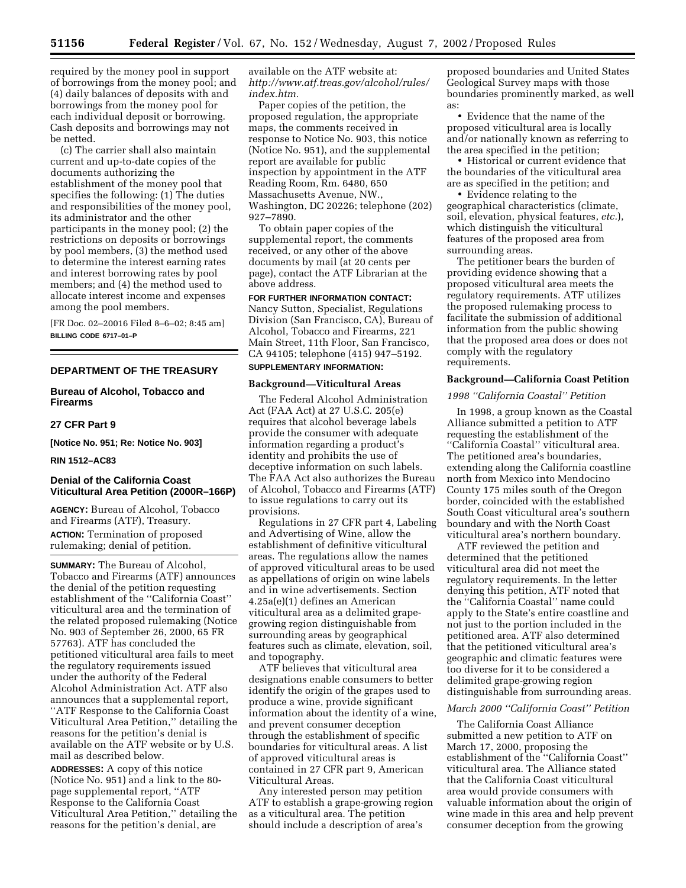required by the money pool in support of borrowings from the money pool; and (4) daily balances of deposits with and borrowings from the money pool for each individual deposit or borrowing. Cash deposits and borrowings may not be netted.

(c) The carrier shall also maintain current and up-to-date copies of the documents authorizing the establishment of the money pool that specifies the following: (1) The duties and responsibilities of the money pool, its administrator and the other participants in the money pool; (2) the restrictions on deposits or borrowings by pool members, (3) the method used to determine the interest earning rates and interest borrowing rates by pool members; and (4) the method used to allocate interest income and expenses among the pool members.

[FR Doc. 02–20016 Filed 8–6–02; 8:45 am] **BILLING CODE 6717–01–P**

# **DEPARTMENT OF THE TREASURY**

# **Bureau of Alcohol, Tobacco and Firearms**

### **27 CFR Part 9**

**[Notice No. 951; Re: Notice No. 903]** 

### **RIN 1512–AC83**

# **Denial of the California Coast Viticultural Area Petition (2000R–166P)**

**AGENCY:** Bureau of Alcohol, Tobacco and Firearms (ATF), Treasury. **ACTION:** Termination of proposed rulemaking; denial of petition.

**SUMMARY:** The Bureau of Alcohol, Tobacco and Firearms (ATF) announces the denial of the petition requesting establishment of the ''California Coast'' viticultural area and the termination of the related proposed rulemaking (Notice No. 903 of September 26, 2000, 65 FR 57763). ATF has concluded the petitioned viticultural area fails to meet the regulatory requirements issued under the authority of the Federal Alcohol Administration Act. ATF also announces that a supplemental report, ''ATF Response to the California Coast Viticultural Area Petition,'' detailing the reasons for the petition's denial is available on the ATF website or by U.S. mail as described below.

**ADDRESSES:** A copy of this notice (Notice No. 951) and a link to the 80 page supplemental report, ''ATF Response to the California Coast Viticultural Area Petition,'' detailing the reasons for the petition's denial, are

available on the ATF website at: *http://www.atf.treas.gov/alcohol/rules/ index.htm.*

Paper copies of the petition, the proposed regulation, the appropriate maps, the comments received in response to Notice No. 903, this notice (Notice No. 951), and the supplemental report are available for public inspection by appointment in the ATF Reading Room, Rm. 6480, 650 Massachusetts Avenue, NW., Washington, DC 20226; telephone (202) 927–7890.

To obtain paper copies of the supplemental report, the comments received, or any other of the above documents by mail (at 20 cents per page), contact the ATF Librarian at the above address.

### **FOR FURTHER INFORMATION CONTACT:**

Nancy Sutton, Specialist, Regulations Division (San Francisco, CA), Bureau of Alcohol, Tobacco and Firearms, 221 Main Street, 11th Floor, San Francisco, CA 94105; telephone (415) 947–5192.

#### **SUPPLEMENTARY INFORMATION:**

#### **Background—Viticultural Areas**

The Federal Alcohol Administration Act (FAA Act) at 27 U.S.C. 205(e) requires that alcohol beverage labels provide the consumer with adequate information regarding a product's identity and prohibits the use of deceptive information on such labels. The FAA Act also authorizes the Bureau of Alcohol, Tobacco and Firearms (ATF) to issue regulations to carry out its provisions.

Regulations in 27 CFR part 4, Labeling and Advertising of Wine, allow the establishment of definitive viticultural areas. The regulations allow the names of approved viticultural areas to be used as appellations of origin on wine labels and in wine advertisements. Section 4.25a(e)(1) defines an American viticultural area as a delimited grapegrowing region distinguishable from surrounding areas by geographical features such as climate, elevation, soil, and topography.

ATF believes that viticultural area designations enable consumers to better identify the origin of the grapes used to produce a wine, provide significant information about the identity of a wine, and prevent consumer deception through the establishment of specific boundaries for viticultural areas. A list of approved viticultural areas is contained in 27 CFR part 9, American Viticultural Areas.

Any interested person may petition ATF to establish a grape-growing region as a viticultural area. The petition should include a description of area's

proposed boundaries and United States Geological Survey maps with those boundaries prominently marked, as well as:

• Evidence that the name of the proposed viticultural area is locally and/or nationally known as referring to the area specified in the petition;

• Historical or current evidence that the boundaries of the viticultural area are as specified in the petition; and

• Evidence relating to the geographical characteristics (climate, soil, elevation, physical features, *etc.*), which distinguish the viticultural features of the proposed area from surrounding areas.

The petitioner bears the burden of providing evidence showing that a proposed viticultural area meets the regulatory requirements. ATF utilizes the proposed rulemaking process to facilitate the submission of additional information from the public showing that the proposed area does or does not comply with the regulatory requirements.

# **Background—California Coast Petition**

### *1998 ''California Coastal'' Petition*

In 1998, a group known as the Coastal Alliance submitted a petition to ATF requesting the establishment of the ''California Coastal'' viticultural area. The petitioned area's boundaries, extending along the California coastline north from Mexico into Mendocino County 175 miles south of the Oregon border, coincided with the established South Coast viticultural area's southern boundary and with the North Coast viticultural area's northern boundary.

ATF reviewed the petition and determined that the petitioned viticultural area did not meet the regulatory requirements. In the letter denying this petition, ATF noted that the ''California Coastal'' name could apply to the State's entire coastline and not just to the portion included in the petitioned area. ATF also determined that the petitioned viticultural area's geographic and climatic features were too diverse for it to be considered a delimited grape-growing region distinguishable from surrounding areas.

### *March 2000 ''California Coast'' Petition*

The California Coast Alliance submitted a new petition to ATF on March 17, 2000, proposing the establishment of the ''California Coast'' viticultural area. The Alliance stated that the California Coast viticultural area would provide consumers with valuable information about the origin of wine made in this area and help prevent consumer deception from the growing